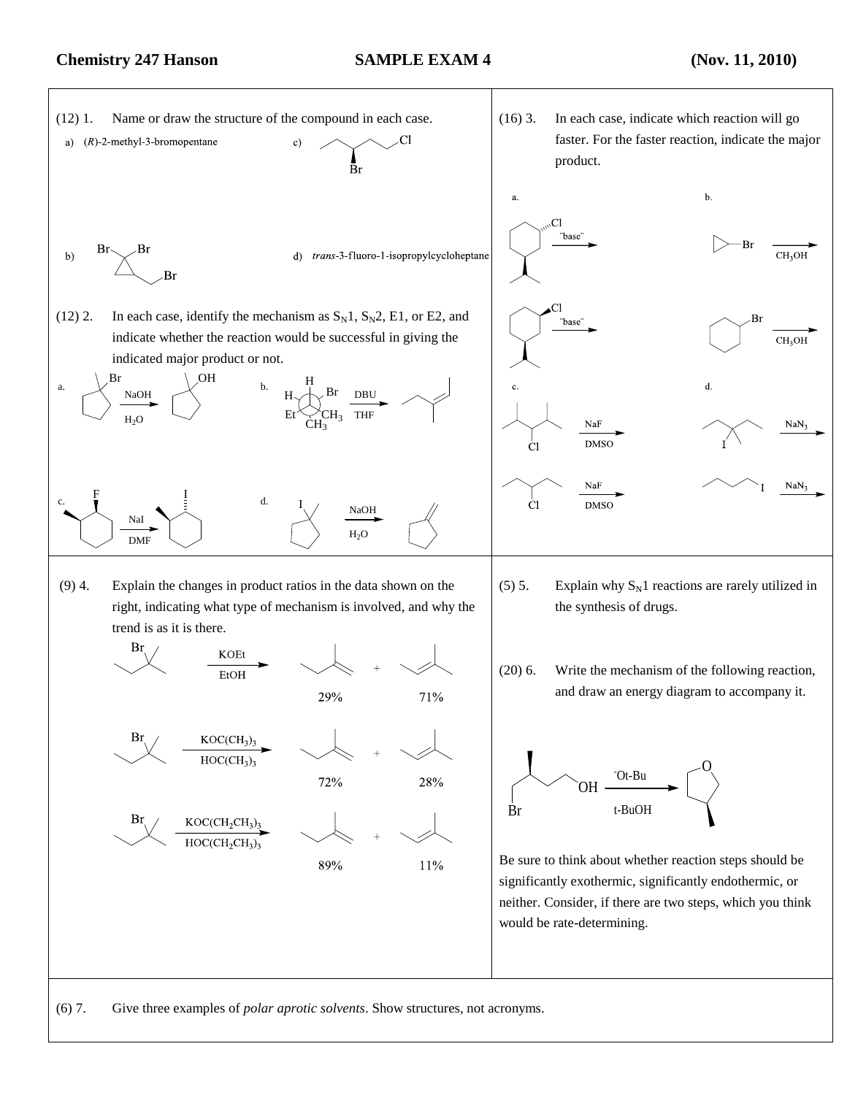## **Chemistry 247 Hanson SAMPLE EXAM 4 (Nov. 11, 2010)**